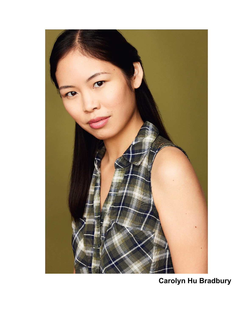

# **Carolyn Hu Bradbury**